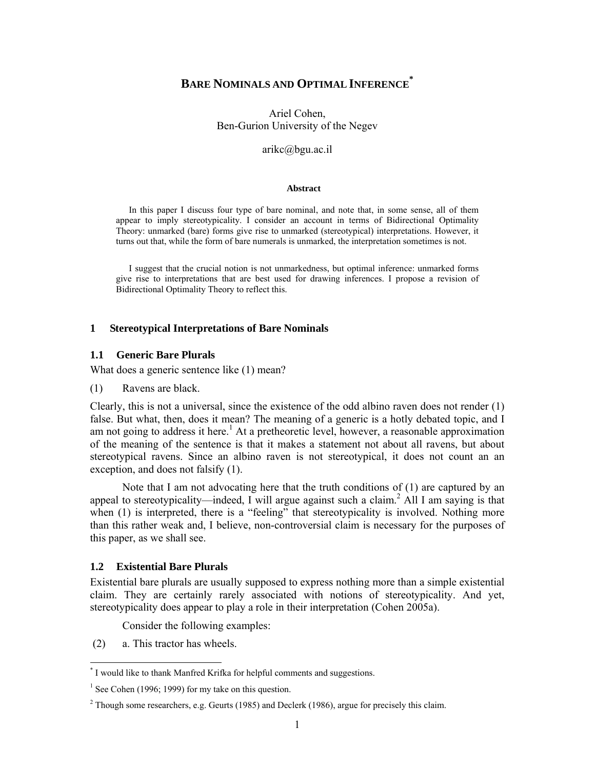# **BARE NOMINALS AND OPTIMAL INFERENCE\***

Ariel Cohen, Ben-Gurion University of the Negev

arikc@bgu.ac.il

#### **Abstract**

In this paper I discuss four type of bare nominal, and note that, in some sense, all of them appear to imply stereotypicality. I consider an account in terms of Bidirectional Optimality Theory: unmarked (bare) forms give rise to unmarked (stereotypical) interpretations. However, it turns out that, while the form of bare numerals is unmarked, the interpretation sometimes is not.

I suggest that the crucial notion is not unmarkedness, but optimal inference: unmarked forms give rise to interpretations that are best used for drawing inferences. I propose a revision of Bidirectional Optimality Theory to reflect this.

#### **1 Stereotypical Interpretations of Bare Nominals**

### **1.1 Generic Bare Plurals**

What does a generic sentence like (1) mean?

(1) Ravens are black.

Clearly, this is not a universal, since the existence of the odd albino raven does not render (1) false. But what, then, does it mean? The meaning of a generic is a hotly debated topic, and I am not going to address it here.<sup>1</sup> At a pretheoretic level, however, a reasonable approximation of the meaning of the sentence is that it makes a statement not about all ravens, but about stereotypical ravens. Since an albino raven is not stereotypical, it does not count an an exception, and does not falsify (1).

 Note that I am not advocating here that the truth conditions of (1) are captured by an appeal to stereotypicality—indeed, I will argue against such a claim.<sup>2</sup> All I am saying is that when (1) is interpreted, there is a "feeling" that stereotypicality is involved. Nothing more than this rather weak and, I believe, non-controversial claim is necessary for the purposes of this paper, as we shall see.

### **1.2 Existential Bare Plurals**

Existential bare plurals are usually supposed to express nothing more than a simple existential claim. They are certainly rarely associated with notions of stereotypicality. And yet, stereotypicality does appear to play a role in their interpretation (Cohen 2005a).

Consider the following examples:

(2) a. This tractor has wheels.

 \* I would like to thank Manfred Krifka for helpful comments and suggestions.

<sup>&</sup>lt;sup>1</sup> See Cohen (1996; 1999) for my take on this question.

<sup>&</sup>lt;sup>2</sup> Though some researchers, e.g. Geurts (1985) and Declerk (1986), argue for precisely this claim.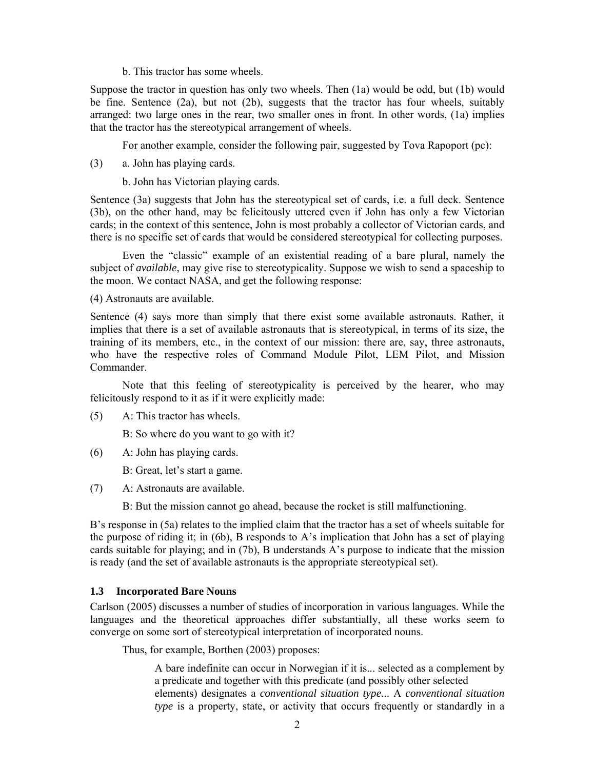b. This tractor has some wheels.

Suppose the tractor in question has only two wheels. Then (1a) would be odd, but (1b) would be fine. Sentence (2a), but not (2b), suggests that the tractor has four wheels, suitably arranged: two large ones in the rear, two smaller ones in front. In other words, (1a) implies that the tractor has the stereotypical arrangement of wheels.

For another example, consider the following pair, suggested by Tova Rapoport (pc):

(3) a. John has playing cards.

b. John has Victorian playing cards.

Sentence (3a) suggests that John has the stereotypical set of cards, i.e. a full deck. Sentence (3b), on the other hand, may be felicitously uttered even if John has only a few Victorian cards; in the context of this sentence, John is most probably a collector of Victorian cards, and there is no specific set of cards that would be considered stereotypical for collecting purposes.

 Even the "classic" example of an existential reading of a bare plural, namely the subject of *available*, may give rise to stereotypicality. Suppose we wish to send a spaceship to the moon. We contact NASA, and get the following response:

(4) Astronauts are available.

Sentence (4) says more than simply that there exist some available astronauts. Rather, it implies that there is a set of available astronauts that is stereotypical, in terms of its size, the training of its members, etc., in the context of our mission: there are, say, three astronauts, who have the respective roles of Command Module Pilot, LEM Pilot, and Mission Commander.

 Note that this feeling of stereotypicality is perceived by the hearer, who may felicitously respond to it as if it were explicitly made:

(5) A: This tractor has wheels.

B: So where do you want to go with it?

(6) A: John has playing cards.

B: Great, let's start a game.

(7) A: Astronauts are available.

B: But the mission cannot go ahead, because the rocket is still malfunctioning.

B's response in (5a) relates to the implied claim that the tractor has a set of wheels suitable for the purpose of riding it; in (6b), B responds to A's implication that John has a set of playing cards suitable for playing; and in (7b), B understands A's purpose to indicate that the mission is ready (and the set of available astronauts is the appropriate stereotypical set).

### **1.3 Incorporated Bare Nouns**

Carlson (2005) discusses a number of studies of incorporation in various languages. While the languages and the theoretical approaches differ substantially, all these works seem to converge on some sort of stereotypical interpretation of incorporated nouns.

Thus, for example, Borthen (2003) proposes:

 A bare indefinite can occur in Norwegian if it is... selected as a complement by a predicate and together with this predicate (and possibly other selected elements) designates a *conventional situation type*... A *conventional situation type* is a property, state, or activity that occurs frequently or standardly in a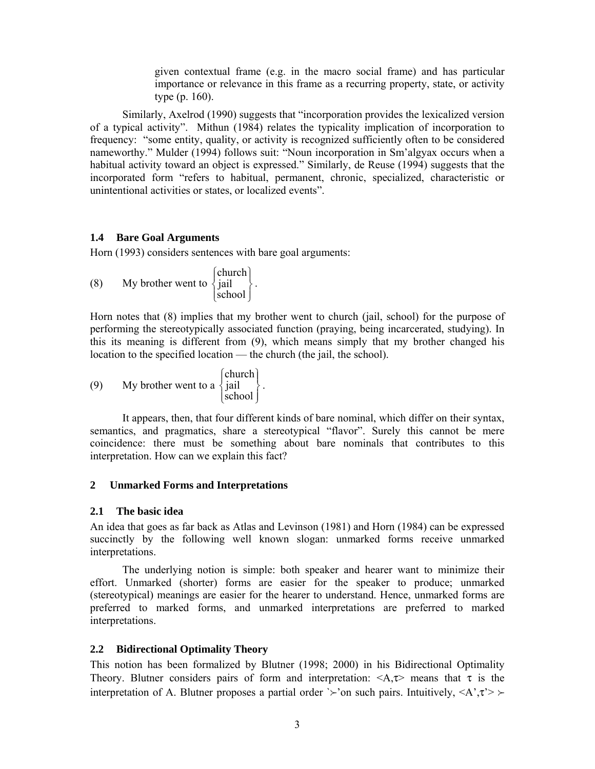given contextual frame (e.g. in the macro social frame) and has particular importance or relevance in this frame as a recurring property, state, or activity type (p. 160).

Similarly, Axelrod (1990) suggests that "incorporation provides the lexicalized version of a typical activity". Mithun (1984) relates the typicality implication of incorporation to frequency: "some entity, quality, or activity is recognized sufficiently often to be considered nameworthy." Mulder (1994) follows suit: "Noun incorporation in Sm'algyax occurs when a habitual activity toward an object is expressed." Similarly, de Reuse (1994) suggests that the incorporated form "refers to habitual, permanent, chronic, specialized, characteristic or unintentional activities or states, or localized events".

### **1.4 Bare Goal Arguments**

Horn (1993) considers sentences with bare goal arguments:

(8) My brother went to  $\begin{cases} \text{circular} \\ \text{jail} \\ \text{school} \end{cases}$  $\left\{ \right\}$  $\mathcal{I}$  $\overline{\mathsf{I}}$  $\overline{a}$ ⎨  $\lceil$ school church  $\Big\}$ .

Horn notes that (8) implies that my brother went to church (jail, school) for the purpose of performing the stereotypically associated function (praying, being incarcerated, studying). In this its meaning is different from (9), which means simply that my brother changed his location to the specified location — the church (the jail, the school).

(9) My brother went to a  $\begin{cases} \text{circular} \\ \text{jail} \\ \text{school} \end{cases}$  $\left\{ \right\}$  $\mathcal{I}$  $\overline{\mathsf{I}}$  $\overline{a}$ ⎨  $\lceil$ school church  $\Big\}$ .

 It appears, then, that four different kinds of bare nominal, which differ on their syntax, semantics, and pragmatics, share a stereotypical "flavor". Surely this cannot be mere coincidence: there must be something about bare nominals that contributes to this interpretation. How can we explain this fact?

### **2 Unmarked Forms and Interpretations**

### **2.1 The basic idea**

An idea that goes as far back as Atlas and Levinson (1981) and Horn (1984) can be expressed succinctly by the following well known slogan: unmarked forms receive unmarked interpretations.

 The underlying notion is simple: both speaker and hearer want to minimize their effort. Unmarked (shorter) forms are easier for the speaker to produce; unmarked (stereotypical) meanings are easier for the hearer to understand. Hence, unmarked forms are preferred to marked forms, and unmarked interpretations are preferred to marked interpretations.

### **2.2 Bidirectional Optimality Theory**

This notion has been formalized by Blutner (1998; 2000) in his Bidirectional Optimality Theory. Blutner considers pairs of form and interpretation:  $\langle A, \tau \rangle$  means that  $\tau$  is the interpretation of A. Blutner proposes a partial order  $\geq$ 'on such pairs. Intuitively,  $\langle A', \tau' \rangle \geq$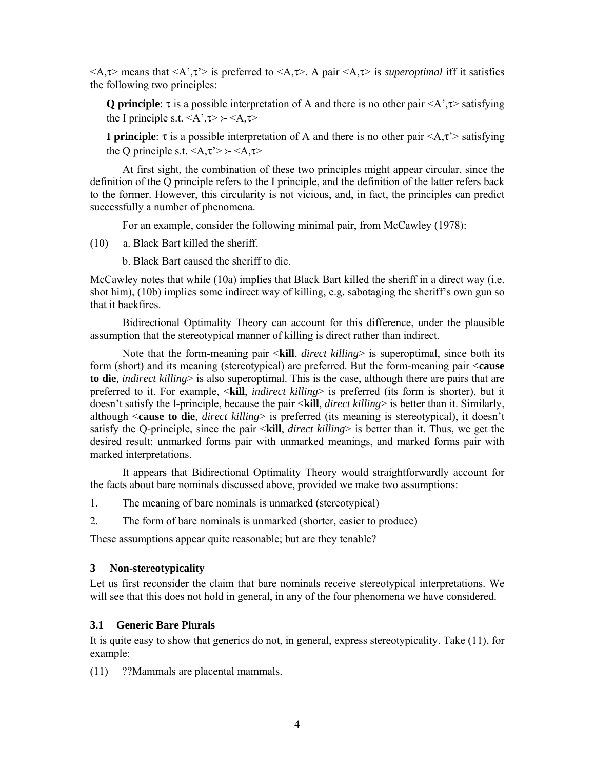<A,τ> means that <A',τ'> is preferred to <A,τ>. A pair <A,τ> is *superoptimal* iff it satisfies the following two principles:

**Q principle**:  $\tau$  is a possible interpretation of A and there is no other pair  $\langle A, \tau \rangle$  satisfying the I principle s.t.  $\langle A', \tau \rangle \rangle \langle A, \tau \rangle$ 

**I principle**:  $\tau$  is a possible interpretation of A and there is no other pair  $\langle A, \tau \rangle$  satisfying the Q principle s.t.  $\langle A, \tau \rangle > \langle A, \tau \rangle$ 

 At first sight, the combination of these two principles might appear circular, since the definition of the Q principle refers to the I principle, and the definition of the latter refers back to the former. However, this circularity is not vicious, and, in fact, the principles can predict successfully a number of phenomena.

For an example, consider the following minimal pair, from McCawley (1978):

(10) a. Black Bart killed the sheriff.

b. Black Bart caused the sheriff to die.

McCawley notes that while (10a) implies that Black Bart killed the sheriff in a direct way (i.e. shot him), (10b) implies some indirect way of killing, e.g. sabotaging the sheriff's own gun so that it backfires.

 Bidirectional Optimality Theory can account for this difference, under the plausible assumption that the stereotypical manner of killing is direct rather than indirect.

 Note that the form-meaning pair <**kill**, *direct killing*> is superoptimal, since both its form (short) and its meaning (stereotypical) are preferred. But the form-meaning pair <**cause to die***, indirect killing*> is also superoptimal. This is the case, although there are pairs that are preferred to it. For example, <**kill**, *indirect killing*> is preferred (its form is shorter), but it doesn't satisfy the I-principle, because the pair <**kill**, *direct killing*> is better than it. Similarly, although <**cause to die***, direct killing*> is preferred (its meaning is stereotypical), it doesn't satisfy the Q-principle, since the pair <**kill**, *direct killing*> is better than it. Thus, we get the desired result: unmarked forms pair with unmarked meanings, and marked forms pair with marked interpretations.

 It appears that Bidirectional Optimality Theory would straightforwardly account for the facts about bare nominals discussed above, provided we make two assumptions:

- 1. The meaning of bare nominals is unmarked (stereotypical)
- 2. The form of bare nominals is unmarked (shorter, easier to produce)

These assumptions appear quite reasonable; but are they tenable?

### **3 Non-stereotypicality**

Let us first reconsider the claim that bare nominals receive stereotypical interpretations. We will see that this does not hold in general, in any of the four phenomena we have considered.

#### **3.1 Generic Bare Plurals**

It is quite easy to show that generics do not, in general, express stereotypicality. Take (11), for example:

(11) ??Mammals are placental mammals.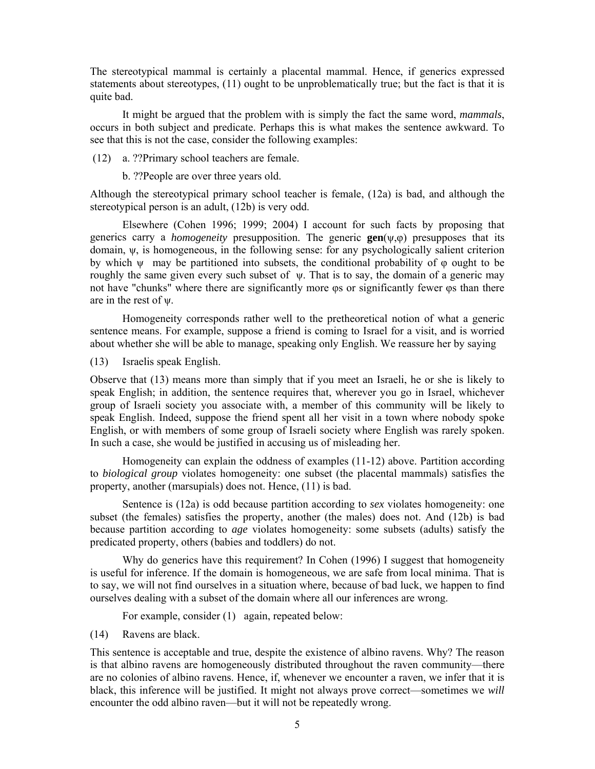The stereotypical mammal is certainly a placental mammal. Hence, if generics expressed statements about stereotypes, (11) ought to be unproblematically true; but the fact is that it is quite bad.

 It might be argued that the problem with is simply the fact the same word, *mammals*, occurs in both subject and predicate. Perhaps this is what makes the sentence awkward. To see that this is not the case, consider the following examples:

(12) a. ??Primary school teachers are female.

b. ??People are over three years old.

Although the stereotypical primary school teacher is female, (12a) is bad, and although the stereotypical person is an adult, (12b) is very odd.

 Elsewhere (Cohen 1996; 1999; 2004) I account for such facts by proposing that generics carry a *homogeneity* presupposition. The generic **gen**(ψ,φ) presupposes that its domain, ψ, is homogeneous, in the following sense: for any psychologically salient criterion by which  $\psi$  may be partitioned into subsets, the conditional probability of  $\varphi$  ought to be roughly the same given every such subset of ψ. That is to say, the domain of a generic may not have "chunks" where there are significantly more φs or significantly fewer φs than there are in the rest of ψ.

 Homogeneity corresponds rather well to the pretheoretical notion of what a generic sentence means. For example, suppose a friend is coming to Israel for a visit, and is worried about whether she will be able to manage, speaking only English. We reassure her by saying

(13) Israelis speak English.

Observe that (13) means more than simply that if you meet an Israeli, he or she is likely to speak English; in addition, the sentence requires that, wherever you go in Israel, whichever group of Israeli society you associate with, a member of this community will be likely to speak English. Indeed, suppose the friend spent all her visit in a town where nobody spoke English, or with members of some group of Israeli society where English was rarely spoken. In such a case, she would be justified in accusing us of misleading her.

 Homogeneity can explain the oddness of examples (11-12) above. Partition according to *biological group* violates homogeneity: one subset (the placental mammals) satisfies the property, another (marsupials) does not. Hence, (11) is bad.

 Sentence is (12a) is odd because partition according to *sex* violates homogeneity: one subset (the females) satisfies the property, another (the males) does not. And (12b) is bad because partition according to *age* violates homogeneity: some subsets (adults) satisfy the predicated property, others (babies and toddlers) do not.

 Why do generics have this requirement? In Cohen (1996) I suggest that homogeneity is useful for inference. If the domain is homogeneous, we are safe from local minima. That is to say, we will not find ourselves in a situation where, because of bad luck, we happen to find ourselves dealing with a subset of the domain where all our inferences are wrong.

For example, consider (1) again, repeated below:

(14) Ravens are black.

This sentence is acceptable and true, despite the existence of albino ravens. Why? The reason is that albino ravens are homogeneously distributed throughout the raven community—there are no colonies of albino ravens. Hence, if, whenever we encounter a raven, we infer that it is black, this inference will be justified. It might not always prove correct—sometimes we *will* encounter the odd albino raven—but it will not be repeatedly wrong.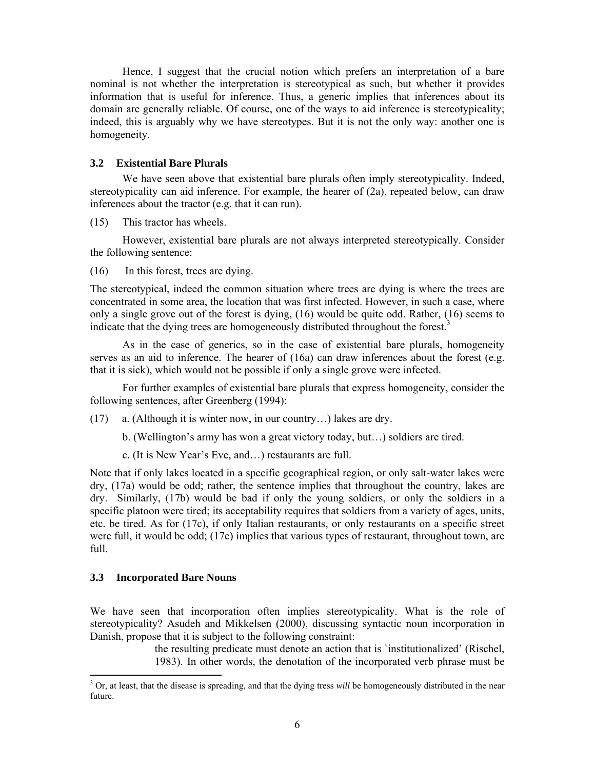Hence, I suggest that the crucial notion which prefers an interpretation of a bare nominal is not whether the interpretation is stereotypical as such, but whether it provides information that is useful for inference. Thus, a generic implies that inferences about its domain are generally reliable. Of course, one of the ways to aid inference is stereotypicality; indeed, this is arguably why we have stereotypes. But it is not the only way: another one is homogeneity.

### **3.2 Existential Bare Plurals**

We have seen above that existential bare plurals often imply stereotypicality. Indeed, stereotypicality can aid inference. For example, the hearer of (2a), repeated below, can draw inferences about the tractor (e.g. that it can run).

(15) This tractor has wheels.

 However, existential bare plurals are not always interpreted stereotypically. Consider the following sentence:

(16) In this forest, trees are dying.

The stereotypical, indeed the common situation where trees are dying is where the trees are concentrated in some area, the location that was first infected. However, in such a case, where only a single grove out of the forest is dying, (16) would be quite odd. Rather, (16) seems to indicate that the dying trees are homogeneously distributed throughout the forest.<sup>3</sup>

 As in the case of generics, so in the case of existential bare plurals, homogeneity serves as an aid to inference. The hearer of (16a) can draw inferences about the forest (e.g. that it is sick), which would not be possible if only a single grove were infected.

For further examples of existential bare plurals that express homogeneity, consider the following sentences, after Greenberg (1994):

(17) a. (Although it is winter now, in our country…) lakes are dry.

b. (Wellington's army has won a great victory today, but…) soldiers are tired.

c. (It is New Year's Eve, and…) restaurants are full.

Note that if only lakes located in a specific geographical region, or only salt-water lakes were dry, (17a) would be odd; rather, the sentence implies that throughout the country, lakes are dry. Similarly, (17b) would be bad if only the young soldiers, or only the soldiers in a specific platoon were tired; its acceptability requires that soldiers from a variety of ages, units, etc. be tired. As for (17c), if only Italian restaurants, or only restaurants on a specific street were full, it would be odd; (17c) implies that various types of restaurant, throughout town, are full.

### **3.3 Incorporated Bare Nouns**

 $\overline{a}$ 

We have seen that incorporation often implies stereotypicality. What is the role of stereotypicality? Asudeh and Mikkelsen (2000), discussing syntactic noun incorporation in Danish, propose that it is subject to the following constraint:

> the resulting predicate must denote an action that is `institutionalized' (Rischel, 1983). In other words, the denotation of the incorporated verb phrase must be

<sup>&</sup>lt;sup>3</sup> Or, at least, that the disease is spreading, and that the dying tress *will* be homogeneously distributed in the near future.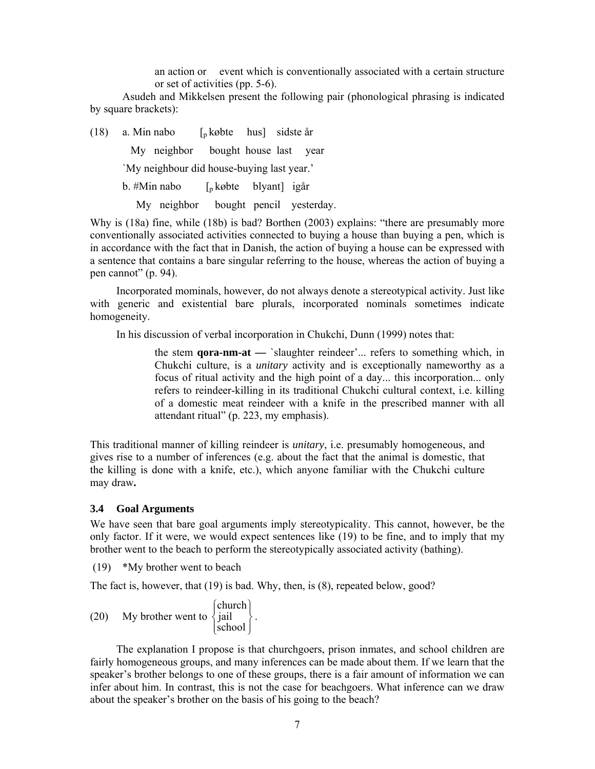an action or event which is conventionally associated with a certain structure or set of activities (pp. 5-6).

 Asudeh and Mikkelsen present the following pair (phonological phrasing is indicated by square brackets):

(18) a. Min nabo  $\left[\begin{array}{cc} p & k\omega \end{array}\right]$  sidste år

My neighbor bought house last year

`My neighbour did house-buying last year.'

b. #Min nabo [p købte blyant] igår

My neighbor bought pencil yesterday.

Why is (18a) fine, while (18b) is bad? Borthen (2003) explains: "there are presumably more conventionally associated activities connected to buying a house than buying a pen, which is in accordance with the fact that in Danish, the action of buying a house can be expressed with a sentence that contains a bare singular referring to the house, whereas the action of buying a pen cannot" (p. 94).

Incorporated mominals, however, do not always denote a stereotypical activity. Just like with generic and existential bare plurals, incorporated nominals sometimes indicate homogeneity.

In his discussion of verbal incorporation in Chukchi, Dunn (1999) notes that:

 the stem **qora-nm-at —** `slaughter reindeer'... refers to something which, in Chukchi culture, is a *unitary* activity and is exceptionally nameworthy as a focus of ritual activity and the high point of a day... this incorporation... only refers to reindeer-killing in its traditional Chukchi cultural context, i.e. killing of a domestic meat reindeer with a knife in the prescribed manner with all attendant ritual" (p. 223, my emphasis).

This traditional manner of killing reindeer is *unitary*, i.e. presumably homogeneous, and gives rise to a number of inferences (e.g. about the fact that the animal is domestic, that the killing is done with a knife, etc.), which anyone familiar with the Chukchi culture may draw**.** 

#### **3.4 Goal Arguments**

We have seen that bare goal arguments imply stereotypicality. This cannot, however, be the only factor. If it were, we would expect sentences like (19) to be fine, and to imply that my brother went to the beach to perform the stereotypically associated activity (bathing).

(19) \*My brother went to beach

The fact is, however, that (19) is bad. Why, then, is (8), repeated below, good?

(20) My brother went to  $\begin{cases} \text{circular} \\ \text{jail} \\ \text{school} \end{cases}$  $\left\{ \right\}$  $\mathcal{I}$  $\overline{\mathsf{I}}$  $\overline{a}$ ⎨  $\lceil$ school church  $\Big\}$ .

The explanation I propose is that churchgoers, prison inmates, and school children are fairly homogeneous groups, and many inferences can be made about them. If we learn that the speaker's brother belongs to one of these groups, there is a fair amount of information we can infer about him. In contrast, this is not the case for beachgoers. What inference can we draw about the speaker's brother on the basis of his going to the beach?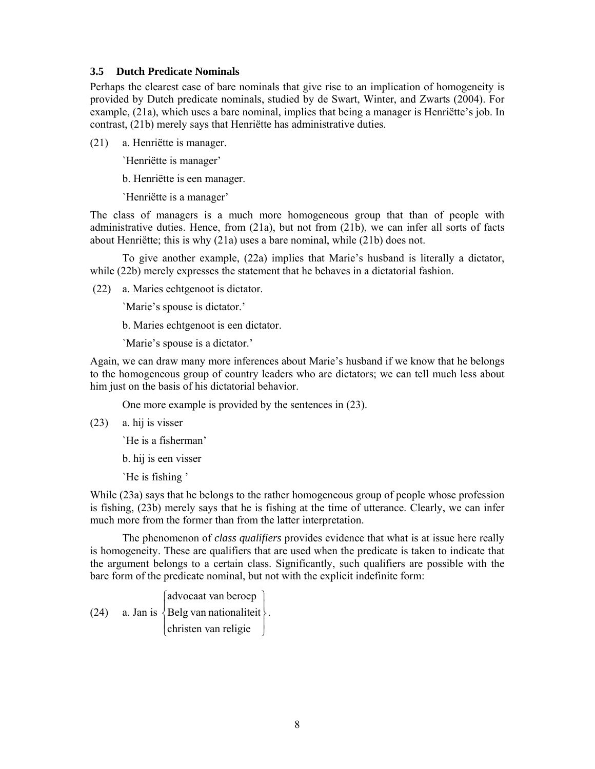### **3.5 Dutch Predicate Nominals**

Perhaps the clearest case of bare nominals that give rise to an implication of homogeneity is provided by Dutch predicate nominals, studied by de Swart, Winter, and Zwarts (2004). For example, (21a), which uses a bare nominal, implies that being a manager is Henriëtte's job. In contrast, (21b) merely says that Henriëtte has administrative duties.

(21) a. Henriëtte is manager.

`Henriëtte is manager'

b. Henriëtte is een manager.

`Henriëtte is a manager'

The class of managers is a much more homogeneous group that than of people with administrative duties. Hence, from (21a), but not from (21b), we can infer all sorts of facts about Henriëtte; this is why (21a) uses a bare nominal, while (21b) does not.

 To give another example, (22a) implies that Marie's husband is literally a dictator, while (22b) merely expresses the statement that he behaves in a dictatorial fashion.

(22) a. Maries echtgenoot is dictator.

`Marie's spouse is dictator.'

b. Maries echtgenoot is een dictator.

`Marie's spouse is a dictator.'

Again, we can draw many more inferences about Marie's husband if we know that he belongs to the homogeneous group of country leaders who are dictators; we can tell much less about him just on the basis of his dictatorial behavior.

One more example is provided by the sentences in (23).

(23) a. hij is visser

`He is a fisherman'

b. hij is een visser

`He is fishing '

While (23a) says that he belongs to the rather homogeneous group of people whose profession is fishing, (23b) merely says that he is fishing at the time of utterance. Clearly, we can infer much more from the former than from the latter interpretation.

 The phenomenon of *class qualifiers* provides evidence that what is at issue here really is homogeneity. These are qualifiers that are used when the predicate is taken to indicate that the argument belongs to a certain class. Significantly, such qualifiers are possible with the bare form of the predicate nominal, but not with the explicit indefinite form:

(24) a. Jan is  $\{$  Belg van nationaliteit  $\}$ ⎪ ⎭ ⎪ ⎩ christen van religie  $\left\{ \right\}$  $\frac{1}{2}$  $\vert$  $\{$ Belg van nationaliteit $\}$ . ⎧ advocaat van beroep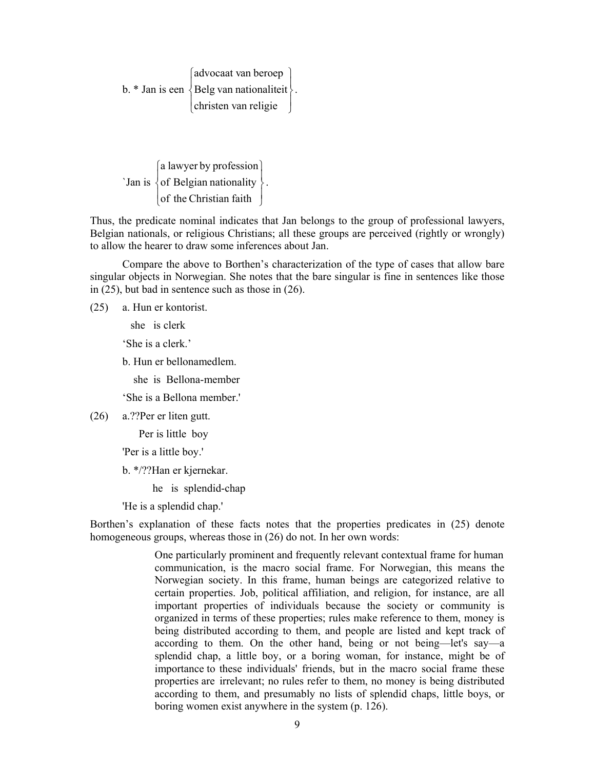b.  $*$  Jan is een  $\{$  Belg van nationaliteit  $\}$ ⎪ ⎭ ⎪ ⎩ christen van religie  $\left\{ \right.$  $\mathbf{I}$  $\frac{1}{2}$  $\{$ Belg van nationaliteit $\}$ . ⎧ advocaat van beroep

 $\mathcal{S}_{\text{an is}}\left\{\text{of Belgian nationality}\right\}$  $\left[$  of the Christian faith  $\left[ \right]$  $\left\{ \right\}$ ⎫ ⎧ a lawyer by profession  $\frac{1}{2}$  $\{$  of Belgian nationality  $\}$ .

Thus, the predicate nominal indicates that Jan belongs to the group of professional lawyers, Belgian nationals, or religious Christians; all these groups are perceived (rightly or wrongly) to allow the hearer to draw some inferences about Jan.

 Compare the above to Borthen's characterization of the type of cases that allow bare singular objects in Norwegian. She notes that the bare singular is fine in sentences like those in (25), but bad in sentence such as those in (26).

(25) a. Hun er kontorist.

she is clerk

'She is a clerk.'

b. Hun er bellonamedlem.

she is Bellona-member

'She is a Bellona member.'

(26) a.??Per er liten gutt.

Per is little boy

'Per is a little boy.'

b. \*/??Han er kjernekar.

he is splendid-chap

'He is a splendid chap.'

Borthen's explanation of these facts notes that the properties predicates in (25) denote homogeneous groups, whereas those in  $(26)$  do not. In her own words:

> One particularly prominent and frequently relevant contextual frame for human communication, is the macro social frame. For Norwegian, this means the Norwegian society. In this frame, human beings are categorized relative to certain properties. Job, political affiliation, and religion, for instance, are all important properties of individuals because the society or community is organized in terms of these properties; rules make reference to them, money is being distributed according to them, and people are listed and kept track of according to them. On the other hand, being or not being—let's say—a splendid chap, a little boy, or a boring woman, for instance, might be of importance to these individuals' friends, but in the macro social frame these properties are irrelevant; no rules refer to them, no money is being distributed according to them, and presumably no lists of splendid chaps, little boys, or boring women exist anywhere in the system (p. 126).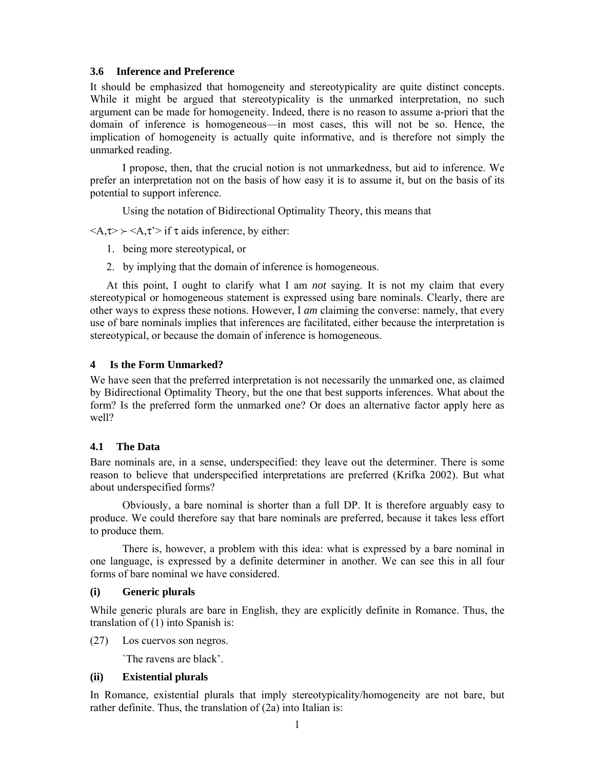### **3.6 Inference and Preference**

It should be emphasized that homogeneity and stereotypicality are quite distinct concepts. While it might be argued that stereotypicality is the unmarked interpretation, no such argument can be made for homogeneity. Indeed, there is no reason to assume a-priori that the domain of inference is homogeneous—in most cases, this will not be so. Hence, the implication of homogeneity is actually quite informative, and is therefore not simply the unmarked reading.

 I propose, then, that the crucial notion is not unmarkedness, but aid to inference. We prefer an interpretation not on the basis of how easy it is to assume it, but on the basis of its potential to support inference.

Using the notation of Bidirectional Optimality Theory, this means that

 $\langle A,\tau\rangle \rangle \langle A,\tau\rangle$  if  $\tau$  aids inference, by either:

- 1. being more stereotypical, or
- 2. by implying that the domain of inference is homogeneous.

At this point, I ought to clarify what I am *not* saying. It is not my claim that every stereotypical or homogeneous statement is expressed using bare nominals. Clearly, there are other ways to express these notions. However, I *am* claiming the converse: namely, that every use of bare nominals implies that inferences are facilitated, either because the interpretation is stereotypical, or because the domain of inference is homogeneous.

### **4 Is the Form Unmarked?**

We have seen that the preferred interpretation is not necessarily the unmarked one, as claimed by Bidirectional Optimality Theory, but the one that best supports inferences. What about the form? Is the preferred form the unmarked one? Or does an alternative factor apply here as well?

### **4.1 The Data**

Bare nominals are, in a sense, underspecified: they leave out the determiner. There is some reason to believe that underspecified interpretations are preferred (Krifka 2002). But what about underspecified forms?

Obviously, a bare nominal is shorter than a full DP. It is therefore arguably easy to produce. We could therefore say that bare nominals are preferred, because it takes less effort to produce them.

 There is, however, a problem with this idea: what is expressed by a bare nominal in one language, is expressed by a definite determiner in another. We can see this in all four forms of bare nominal we have considered.

### **(i) Generic plurals**

While generic plurals are bare in English, they are explicitly definite in Romance. Thus, the translation of (1) into Spanish is:

(27) Los cuervos son negros.

`The ravens are black'.

### **(ii) Existential plurals**

In Romance, existential plurals that imply stereotypicality/homogeneity are not bare, but rather definite. Thus, the translation of (2a) into Italian is: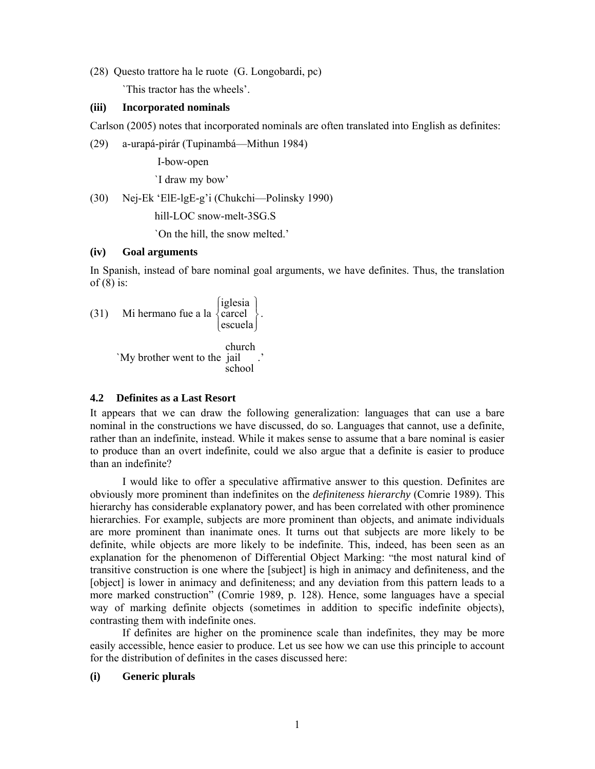(28) Questo trattore ha le ruote (G. Longobardi, pc)

`This tractor has the wheels'.

#### **(iii) Incorporated nominals**

Carlson (2005) notes that incorporated nominals are often translated into English as definites:

(29) a-urapá-pirár (Tupinambá—Mithun 1984)

I-bow-open

`I draw my bow'

(30) Nej-Ek 'ElE-lgE-g'i (Chukchi—Polinsky 1990)

hill-LOC snow-melt-3SG.S

`On the hill, the snow melted.'

#### **(iv) Goal arguments**

In Spanish, instead of bare nominal goal arguments, we have definites. Thus, the translation of  $(8)$  is:

(31) Mi hermano fue a la  $\begin{cases} \text{lgiesia} \\ \text{cancela} \\ \text{escuela} \end{cases}$  $\left[\begin{array}{c} 1 \\ 1 \\ 2 \\ 3 \end{array}\right]$  $\left\{ \right\}$ ⎪⎩ escuela  $\begin{Bmatrix} \text{iglesia} \\ \text{cancel} \end{Bmatrix}$ .

> `My brother went to the jail school church .'

### **4.2 Definites as a Last Resort**

It appears that we can draw the following generalization: languages that can use a bare nominal in the constructions we have discussed, do so. Languages that cannot, use a definite, rather than an indefinite, instead. While it makes sense to assume that a bare nominal is easier to produce than an overt indefinite, could we also argue that a definite is easier to produce than an indefinite?

 I would like to offer a speculative affirmative answer to this question. Definites are obviously more prominent than indefinites on the *definiteness hierarchy* (Comrie 1989). This hierarchy has considerable explanatory power, and has been correlated with other prominence hierarchies. For example, subjects are more prominent than objects, and animate individuals are more prominent than inanimate ones. It turns out that subjects are more likely to be definite, while objects are more likely to be indefinite. This, indeed, has been seen as an explanation for the phenomenon of Differential Object Marking: "the most natural kind of transitive construction is one where the [subject] is high in animacy and definiteness, and the [object] is lower in animacy and definiteness; and any deviation from this pattern leads to a more marked construction" (Comrie 1989, p. 128). Hence, some languages have a special way of marking definite objects (sometimes in addition to specific indefinite objects), contrasting them with indefinite ones.

If definites are higher on the prominence scale than indefinites, they may be more easily accessible, hence easier to produce. Let us see how we can use this principle to account for the distribution of definites in the cases discussed here:

### **(i) Generic plurals**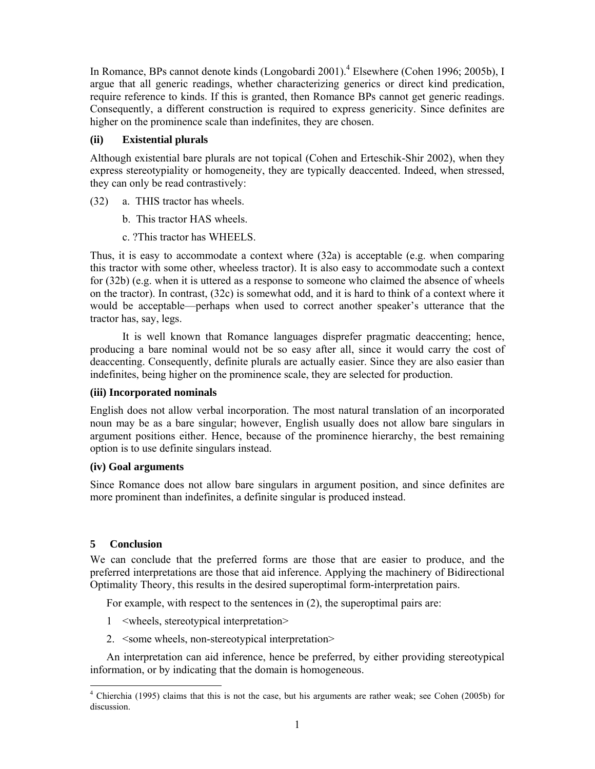In Romance, BPs cannot denote kinds (Longobardi 2001).<sup>4</sup> Elsewhere (Cohen 1996; 2005b), I argue that all generic readings, whether characterizing generics or direct kind predication, require reference to kinds. If this is granted, then Romance BPs cannot get generic readings. Consequently, a different construction is required to express genericity. Since definites are higher on the prominence scale than indefinites, they are chosen.

## **(ii) Existential plurals**

Although existential bare plurals are not topical (Cohen and Erteschik-Shir 2002), when they express stereotypiality or homogeneity, they are typically deaccented. Indeed, when stressed, they can only be read contrastively:

- (32) a. THIS tractor has wheels.
	- b. This tractor HAS wheels.
	- c. ?This tractor has WHEELS.

Thus, it is easy to accommodate a context where (32a) is acceptable (e.g. when comparing this tractor with some other, wheeless tractor). It is also easy to accommodate such a context for (32b) (e.g. when it is uttered as a response to someone who claimed the absence of wheels on the tractor). In contrast, (32c) is somewhat odd, and it is hard to think of a context where it would be acceptable—perhaps when used to correct another speaker's utterance that the tractor has, say, legs.

It is well known that Romance languages disprefer pragmatic deaccenting; hence, producing a bare nominal would not be so easy after all, since it would carry the cost of deaccenting. Consequently, definite plurals are actually easier. Since they are also easier than indefinites, being higher on the prominence scale, they are selected for production.

### **(iii) Incorporated nominals**

English does not allow verbal incorporation. The most natural translation of an incorporated noun may be as a bare singular; however, English usually does not allow bare singulars in argument positions either. Hence, because of the prominence hierarchy, the best remaining option is to use definite singulars instead.

### **(iv) Goal arguments**

Since Romance does not allow bare singulars in argument position, and since definites are more prominent than indefinites, a definite singular is produced instead.

# **5 Conclusion**

 $\overline{a}$ 

We can conclude that the preferred forms are those that are easier to produce, and the preferred interpretations are those that aid inference. Applying the machinery of Bidirectional Optimality Theory, this results in the desired superoptimal form-interpretation pairs.

For example, with respect to the sentences in (2), the superoptimal pairs are:

- 1 <wheels, stereotypical interpretation>
- 2. <some wheels, non-stereotypical interpretation>

An interpretation can aid inference, hence be preferred, by either providing stereotypical information, or by indicating that the domain is homogeneous.

<sup>&</sup>lt;sup>4</sup> Chierchia (1995) claims that this is not the case, but his arguments are rather weak; see Cohen (2005b) for discussion.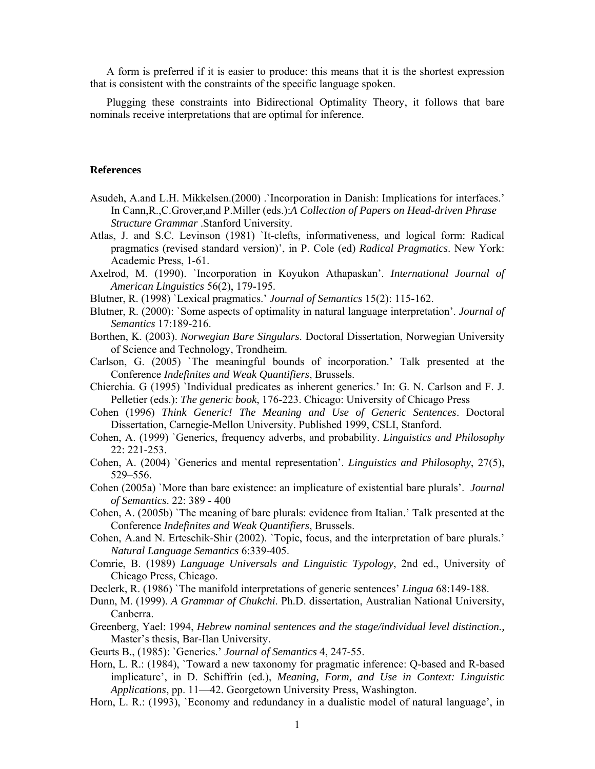A form is preferred if it is easier to produce: this means that it is the shortest expression that is consistent with the constraints of the specific language spoken.

Plugging these constraints into Bidirectional Optimality Theory, it follows that bare nominals receive interpretations that are optimal for inference.

### **References**

- Asudeh, A.and L.H. Mikkelsen.(2000) .`Incorporation in Danish: Implications for interfaces.' In Cann,R.,C.Grover,and P.Miller (eds.):*A Collection of Papers on Head-driven Phrase Structure Grammar* .Stanford University.
- Atlas, J. and S.C. Levinson (1981) `It-clefts, informativeness, and logical form: Radical pragmatics (revised standard version)', in P. Cole (ed) *Radical Pragmatics*. New York: Academic Press, 1-61.
- Axelrod, M. (1990). `Incorporation in Koyukon Athapaskan'. *International Journal of American Linguistics* 56(2), 179-195.
- Blutner, R. (1998) `Lexical pragmatics.' *Journal of Semantics* 15(2): 115-162.
- Blutner, R. (2000): `Some aspects of optimality in natural language interpretation'. *Journal of Semantics* 17:189-216.
- Borthen, K. (2003). *Norwegian Bare Singulars*. Doctoral Dissertation, Norwegian University of Science and Technology, Trondheim.
- Carlson, G. (2005) `The meaningful bounds of incorporation.' Talk presented at the Conference *Indefinites and Weak Quantifiers*, Brussels.
- Chierchia. G (1995) `Individual predicates as inherent generics.' In: G. N. Carlson and F. J. Pelletier (eds.): *The generic book*, 176-223. Chicago: University of Chicago Press
- Cohen (1996) *Think Generic! The Meaning and Use of Generic Sentences*. Doctoral Dissertation, Carnegie-Mellon University. Published 1999, CSLI, Stanford.
- Cohen, A. (1999) `Generics, frequency adverbs, and probability. *Linguistics and Philosophy* 22: 221-253.
- Cohen, A. (2004) `Generics and mental representation'. *Linguistics and Philosophy*, 27(5), 529–556.
- Cohen (2005a) `More than bare existence: an implicature of existential bare plurals'. *Journal of Semantics*. 22: 389 - 400
- Cohen, A. (2005b) `The meaning of bare plurals: evidence from Italian.' Talk presented at the Conference *Indefinites and Weak Quantifiers*, Brussels.
- Cohen, A.and N. Erteschik-Shir (2002). `Topic, focus, and the interpretation of bare plurals.' *Natural Language Semantics* 6:339-405.
- Comrie, B. (1989) *Language Universals and Linguistic Typology*, 2nd ed., University of Chicago Press, Chicago.
- Declerk, R. (1986) `The manifold interpretations of generic sentences' *Lingua* 68:149-188.
- Dunn, M. (1999). *A Grammar of Chukchi*. Ph.D. dissertation, Australian National University, Canberra.
- Greenberg, Yael: 1994, *Hebrew nominal sentences and the stage/individual level distinction.,* Master's thesis, Bar-Ilan University.
- Geurts B., (1985): `Generics.' *Journal of Semantics* 4, 247-55.
- Horn, L. R.: (1984), `Toward a new taxonomy for pragmatic inference: Q-based and R-based implicature', in D. Schiffrin (ed.), *Meaning, Form, and Use in Context: Linguistic Applications*, pp. 11—42. Georgetown University Press, Washington.
- Horn, L. R.: (1993), `Economy and redundancy in a dualistic model of natural language', in